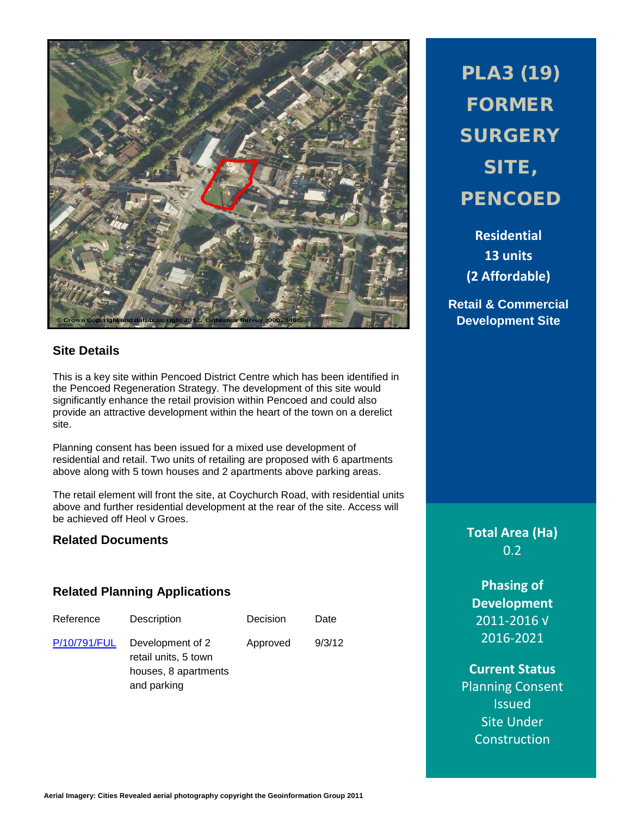

# **Site Details**

This is a key site within Pencoed District Centre which has been identified in the Pencoed Regeneration Strategy. The development of this site would significantly enhance the retail provision within Pencoed and could also provide an attractive development within the heart of the town on a derelict site.

Planning consent has been issued for a mixed use development of residential and retail. Two units of retailing are proposed with 6 apartments above along with 5 town houses and 2 apartments above parking areas.

The retail element will front the site, at Coychurch Road, with residential units above and further residential development at the rear of the site. Access will be achieved off Heol y Groes.

## **Related Documents**

### **Related Planning Applications**

| Reference    | Description                                                                     | Decision | Date   |
|--------------|---------------------------------------------------------------------------------|----------|--------|
| P/10/791/FUL | Development of 2<br>retail units, 5 town<br>houses, 8 apartments<br>and parking | Approved | 9/3/12 |

PLA3 (19) FORMER **SURGERY** SITE, **PENCOED** 

**Residential 13 units (2 Affordable)**

**Retail & Commercial Development Site**

> **Total Area (Ha)** 0.2

**Phasing of Development** 2011-2016 √ 2016-2021

**Current Status Planning Consent Issued** Site Under Construction